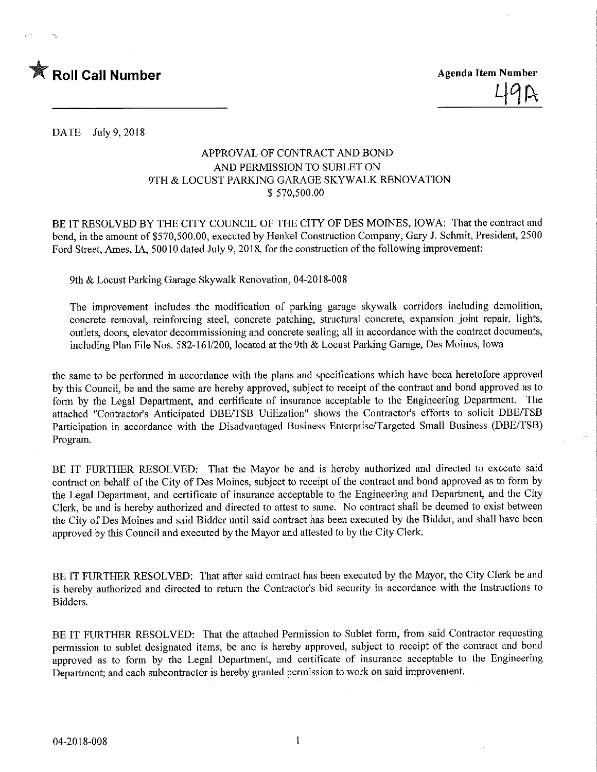

DATE July 9,2018

### APPROVAL OF CONTRACT AND BOND AND PERMISSION TO SUBLET ON 9TH & LOCUST PARKING GARAGE SKYWALK RENOVATION \$ 570,500.00

BE IT RESOLVED BY THE CITY COUNCIL OF THE CITY OF DES MOJNES, IOWA: That the contract and bond, in the amount of \$570,500.00, executed by Henkel Construction Company, Gary J. Schmit, President, 2500 Ford Street, Ames, IA, 50010 dated July 9, 2018, for the construction of the following improvement:

9th & Locust Parking Garage Skywalk Renovation, 04-2018-008

The improvement includes the modification of parking garage skywalk corridors including demolition, concrete removal, reinforcing steel, concrete patching, structural concrete, expansion joint repair, lights, outlets, doors, elevator decommissioning and concrete sealing; all in accordance with the contract documents, including Plan File Nos. 582-161/200, located at the 9th & Locust Parking Garage, Des Moines, Iowa

the same to be performed in accordance with the plans and specifications which have been heretofore approved by this Council, be and the same are hereby approved, subject to receipt of the contract and bond approved as to form by the Legal Department, and certificate of insurance acceptable to the Engineering Department. The attached "Contractor's Anticipated DBE/TSB Utilization" shows the Contractor's efforts to solicit DBE/TSB Participation in accordance with the Disadvantaged Business Enterprise/Targeted Small Business (DBE/TSB) Program.

BE IT FURTHER RESOLVED: That the Mayor be and is hereby authorized and directed to execute said contract on behalf of the City of Des Moines, subject to receipt of the contract and bond approved as to form by the Legal Department, and certificate of insurance acceptable to the Engineering and Department, and the City Clerk, be and is hereby authorized and directed to attest to same. No contract shall be deemed to exist between the City of Des Moines and said Bidder until said contract has been executed by the Bidder, and shall have been approved by this Council and executed by the Mayor and attested to by the City Clerk.

BE IT FURTHER RESOLVED: That after said contract has been executed by the Mayor, the City Clerk be and is hereby authorized and directed to return the Contractor's bid security in accordance with the Instructions to Bidders.

BE IT FURTHER RESOLVED: That the attached Permission to Sublet form, from said Contractor requesting permission to sublet designated items, be and is hereby approved, subject to receipt of the contract and bond approved as to form by the Legal Department, and certificate of insurance acceptable to the Engineering Department; and each subcontractor is hereby granted permission to work on said improvement.

 $\mathbf{I}$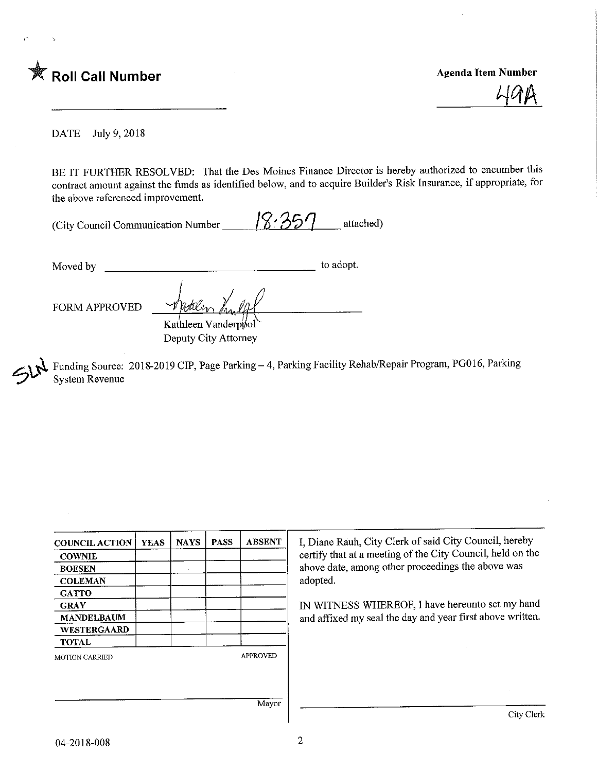

DATE July 9, 2018

BE IT FURTHER RESOLVED: That the Des Moines Finance Director is hereby authorized to encumber this contract amount against the funds as identified below, and to acquire Builder's Risk Insurance, if appropriate, for the above referenced improvement.

(City Council Communication Number  $\begin{array}{c|c} & & \sqrt{8.357} & \text{attached} \end{array}$ 

Moved by to adopt.

FORM APPROVED

Kathleen Vanderpøol Deputy City Attorney

Funding Source: 2018-2019 CIP, Page Parking - 4, Parking Facility Rehab/Repair Program, PG016, Parking System Revenue

| <b>COUNCIL ACTION</b> | <b>YEAS</b> | <b>NAYS</b> | <b>PASS</b> | <b>ABSENT</b>   | I, Diane Rauh, City Clerk of said City Council, hereby     |
|-----------------------|-------------|-------------|-------------|-----------------|------------------------------------------------------------|
| <b>COWNIE</b>         |             |             |             |                 | certify that at a meeting of the City Council, held on the |
| <b>BOESEN</b>         |             |             |             |                 | above date, among other proceedings the above was          |
| <b>COLEMAN</b>        |             |             |             |                 | adopted.                                                   |
| <b>GATTO</b>          |             |             |             |                 |                                                            |
| <b>GRAY</b>           |             |             |             |                 | IN WITNESS WHEREOF, I have hereunto set my hand            |
| <b>MANDELBAUM</b>     |             |             |             |                 | and affixed my seal the day and year first above written.  |
| WESTERGAARD           |             |             |             |                 |                                                            |
| <b>TOTAL</b>          |             |             |             |                 |                                                            |
| <b>MOTION CARRIED</b> |             |             |             | <b>APPROVED</b> |                                                            |
|                       |             |             |             |                 |                                                            |
|                       |             |             |             |                 |                                                            |
|                       |             |             |             |                 |                                                            |
|                       |             |             |             | Mayor           |                                                            |
|                       |             |             |             |                 | City Clerk                                                 |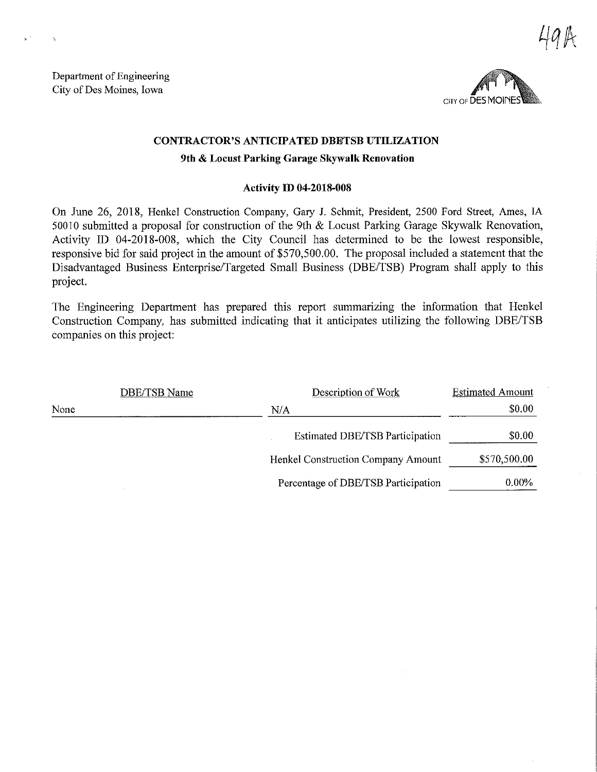Department of Engineering City of Des Moines, Iowa



# CONTRACTOR'S ANTICIPATED DBEfTSB UTILIZATION

#### 9th & Locust Parking Garage Skywalk Renovation

#### Activity ID 04-2018-908

On June 26, 2018, Henkel Construction Company, Gary J. Schmit, President, 2500 Ford Street, Ames, IA 50010 submitted a proposal for construction of the 9th & Locust Parking Garage Skywalk Renovation, Activity ID 04-2018-008, which the City Council has determined to be the lowest responsible, responsive bid for said project in the amount of \$570,500.00. The proposal included a statement that the Disadvantaged Business Enterprise/Targeted Small Business (DBE/TSB) Program shall apply to this project.

The Engineering Department has prepared this report summarizing the information that Henkel Construction Company, has submitted indicating that it anticipates utilizing the following DBE/TSB companies on this project:

|      | <b>DBE/TSB Name</b> | Description of Work                    | <b>Estimated Amount</b> |
|------|---------------------|----------------------------------------|-------------------------|
| None |                     | N/A                                    | \$0.00                  |
|      |                     | <b>Estimated DBE/TSB Participation</b> | \$0.00                  |
|      |                     | Henkel Construction Company Amount     | \$570,500.00            |
|      |                     | Percentage of DBE/TSB Participation    | $0.00\%$                |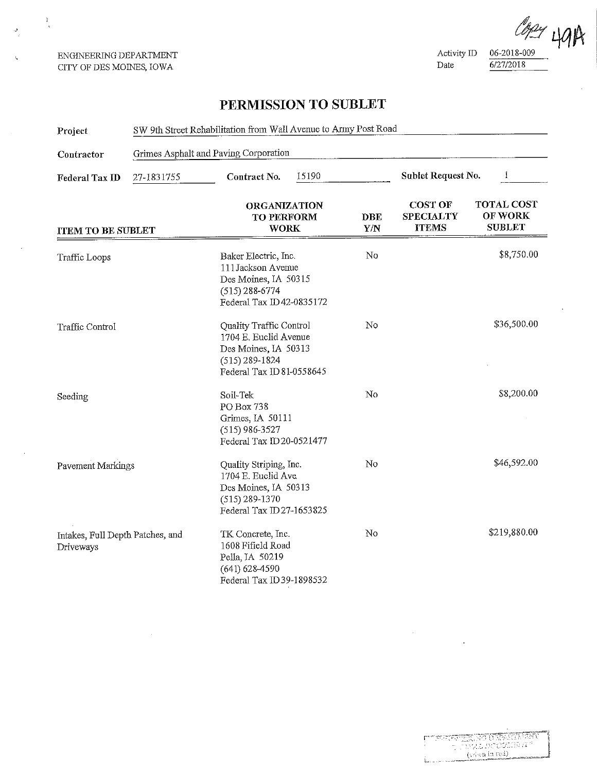ENGINEERING DEPARTMENT CITY OF DES MOINES, IOWA

 $\rightarrow$ 

Activity ID Date

 $0.2018-0.09$ 6/27/2018

CRASS E TANGES ON<br>'.? ALL DO COLOR (F '

## PERMISSION TO SUBLET

| Project                                       | SW 9th Street Rehabilitation from Wall Avenue to Army Post Road |                                                                                                                             |                         |                                                    |                                                      |  |  |  |
|-----------------------------------------------|-----------------------------------------------------------------|-----------------------------------------------------------------------------------------------------------------------------|-------------------------|----------------------------------------------------|------------------------------------------------------|--|--|--|
| Contractor                                    | Grimes Asphalt and Paving Corporation                           |                                                                                                                             |                         |                                                    |                                                      |  |  |  |
| Federal Tax ID                                | 27-1831755                                                      | 15190<br>Contract No.                                                                                                       | 1<br>Sublet Request No. |                                                    |                                                      |  |  |  |
| <b>ITEM TO BE SUBLET</b>                      |                                                                 | <b>ORGANIZATION</b><br>TO PERFORM<br><b>WORK</b>                                                                            | <b>DBE</b><br>Y/N       | <b>COST OF</b><br><b>SPECIALTY</b><br><b>ITEMS</b> | <b>TOTAL COST</b><br><b>OF WORK</b><br><b>SUBLET</b> |  |  |  |
| <b>Traffic Loops</b>                          |                                                                 | Baker Electric, Inc.<br>111 Jackson Avenue<br>Des Moines, IA 50315<br>$(515) 288 - 6774$<br>Federal Tax ID42-0835172        | No                      |                                                    | \$8,750.00                                           |  |  |  |
| Traffic Control                               |                                                                 | Quality Traffic Control<br>1704 E. Euclid Avenue<br>Des Moines, IA 50313<br>$(515) 289 - 1824$<br>Federal Tax ID 81-0558645 | No                      |                                                    | \$36,500.00                                          |  |  |  |
| Seeding                                       |                                                                 | Soil-Tek<br>PO Box 738<br>Grimes, IA 50111<br>$(515)$ 986-3527<br>Federal Tax ID 20-0521477                                 | No                      |                                                    | \$8,200.00                                           |  |  |  |
| Pavement Markings                             |                                                                 | Quality Striping, Inc.<br>1704 E. Euclid Ave<br>Des Moines, IA 50313<br>$(515) 289 - 1370$<br>Federal Tax ID 27-1653825     | No                      |                                                    | \$46,592.00                                          |  |  |  |
| Intakes, Full Depth Patches, and<br>Driveways |                                                                 | TK Concrete, Inc.<br>1608 Fifield Road<br>Pella, IA 50219<br>$(641) 628 - 4590$<br>Federal Tax ID 39-1898532                | No                      |                                                    | \$219,880.00                                         |  |  |  |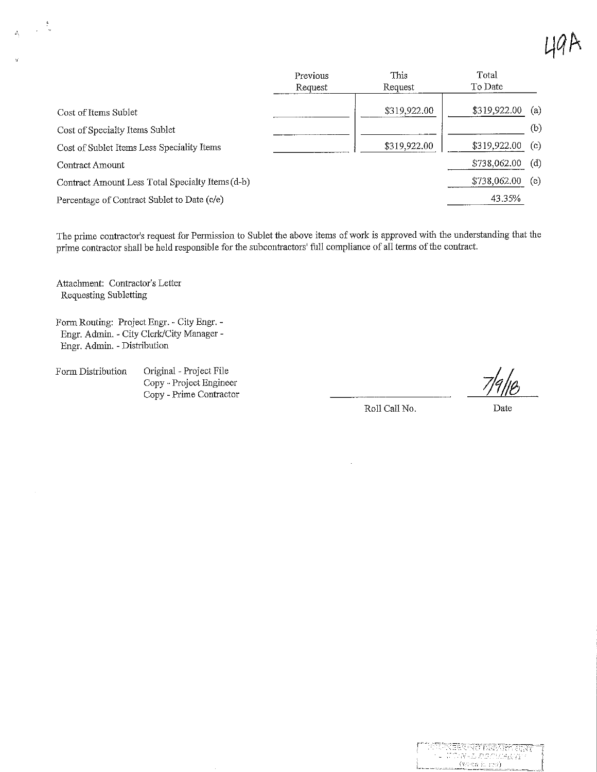|                                                  | Previous | This         | Total        |     |
|--------------------------------------------------|----------|--------------|--------------|-----|
|                                                  | Request  | Request      | To Date      |     |
| Cost of Items Sublet                             |          | \$319,922.00 | \$319,922.00 | (a) |
| Cost of Specialty Items Sublet                   |          |              |              | (b) |
| Cost of Sublet Items Less Speciality Items       |          | \$319,922.00 | \$319,922.00 | (c) |
| Contract Amount                                  |          |              | \$738,062.00 | (d) |
| Contract Amount Less Total Specialty Items (d-b) |          |              | \$738,062.00 | (e) |
| Percentage of Contract Sublet to Date (c/e)      |          |              | 43.35%       |     |

The prime contractor's request for Permission to Sublet the above items of work is approved with the understanding that the prime contractor shall be held responsible for the subcontractors' fall compliance of all terms of the contract.

Attachment: Contractor's Letter Requesting Sublettiag

 $\bar{u}$ 

Form Routing: Project Engr. - City Engr. -Engr. Admin, - City Clerk/City Manager - Engr. Admin. - Distribution

Form Distribution Original - Project File Copy - Project Engineer Copy - Prime Contractor

 $\frac{7}{\frac{7}{4}}$ 

Roll Call No.

Date

WESSEN NOTERATION<br>TECHNOLOGICALITY ņw.  $(w \cdot \circ n \text{ i.} \text{red})$